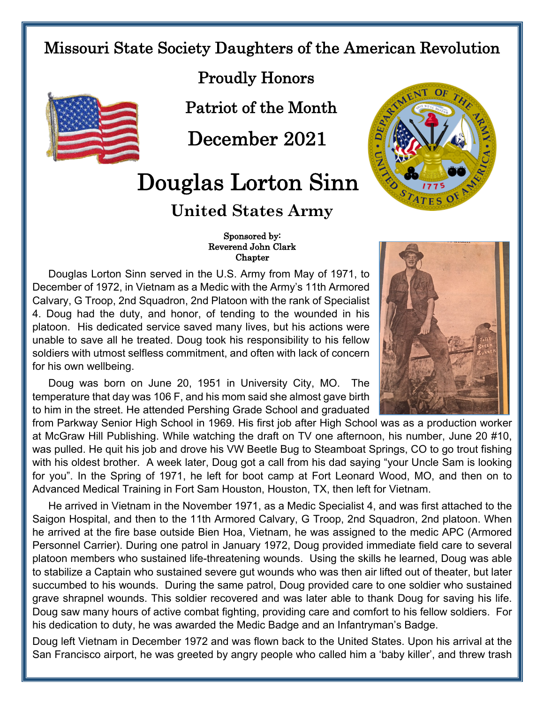## Missouri State Society Daughters of the American Revolution



Proudly Honors

Patriot of the Month

December 2021

## Douglas Lorton Sinn

## **United States Army**



## Sponsored by: Reverend John Clark Chapter

Douglas Lorton Sinn served in the U.S. Army from May of 1971, to December of 1972, in Vietnam as a Medic with the Army's 11th Armored Calvary, G Troop, 2nd Squadron, 2nd Platoon with the rank of Specialist 4. Doug had the duty, and honor, of tending to the wounded in his platoon. His dedicated service saved many lives, but his actions were unable to save all he treated. Doug took his responsibility to his fellow soldiers with utmost selfless commitment, and often with lack of concern for his own wellbeing.

Doug was born on June 20, 1951 in University City, MO. The temperature that day was 106 F, and his mom said she almost gave birth to him in the street. He attended Pershing Grade School and graduated

from Parkway Senior High School in 1969. His first job after High School was as a production worker at McGraw Hill Publishing. While watching the draft on TV one afternoon, his number, June 20 #10, was pulled. He quit his job and drove his VW Beetle Bug to Steamboat Springs, CO to go trout fishing with his oldest brother. A week later, Doug got a call from his dad saying "your Uncle Sam is looking for you". In the Spring of 1971, he left for boot camp at Fort Leonard Wood, MO, and then on to Advanced Medical Training in Fort Sam Houston, Houston, TX, then left for Vietnam.

He arrived in Vietnam in the November 1971, as a Medic Specialist 4, and was first attached to the Saigon Hospital, and then to the 11th Armored Calvary, G Troop, 2nd Squadron, 2nd platoon. When he arrived at the fire base outside Bien Hoa, Vietnam, he was assigned to the medic APC (Armored Personnel Carrier). During one patrol in January 1972, Doug provided immediate field care to several platoon members who sustained life-threatening wounds. Using the skills he learned, Doug was able to stabilize a Captain who sustained severe gut wounds who was then air lifted out of theater, but later succumbed to his wounds. During the same patrol, Doug provided care to one soldier who sustained grave shrapnel wounds. This soldier recovered and was later able to thank Doug for saving his life. Doug saw many hours of active combat fighting, providing care and comfort to his fellow soldiers. For his dedication to duty, he was awarded the Medic Badge and an Infantryman's Badge.

Doug left Vietnam in December 1972 and was flown back to the United States. Upon his arrival at the San Francisco airport, he was greeted by angry people who called him a 'baby killer', and threw trash